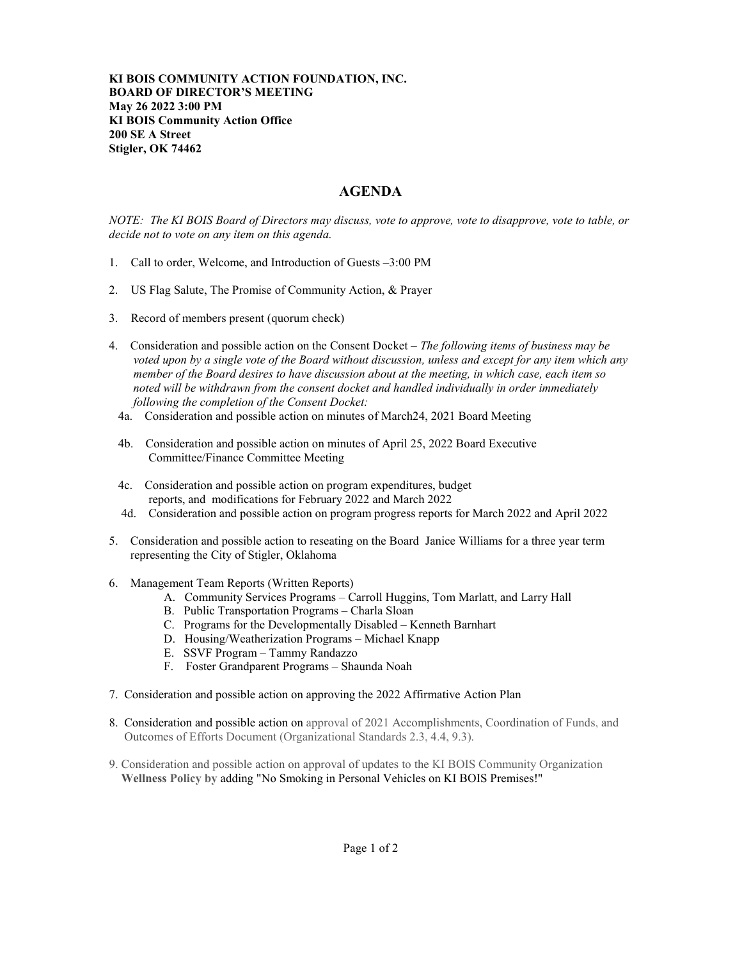**KI BOIS COMMUNITY ACTION FOUNDATION, INC. BOARD OF DIRECTOR'S MEETING May 26 2022 3:00 PM KI BOIS Community Action Office 200 SE A Street Stigler, OK 74462**

## **AGENDA**

*NOTE: The KI BOIS Board of Directors may discuss, vote to approve, vote to disapprove, vote to table, or decide not to vote on any item on this agenda.*

- 1. Call to order, Welcome, and Introduction of Guests –3:00 PM
- 2. US Flag Salute, The Promise of Community Action, & Prayer
- 3. Record of members present (quorum check)
- 4. Consideration and possible action on the Consent Docket *The following items of business may be voted upon by a single vote of the Board without discussion, unless and except for any item which any member of the Board desires to have discussion about at the meeting, in which case, each item so noted will be withdrawn from the consent docket and handled individually in order immediately following the completion of the Consent Docket:*
- 4a. Consideration and possible action on minutes of March24, 2021 Board Meeting
- 4b. Consideration and possible action on minutes of April 25, 2022 Board Executive Committee/Finance Committee Meeting
- 4c. Consideration and possible action on program expenditures, budget reports, and modifications for February 2022 and March 2022
- 4d. Consideration and possible action on program progress reports for March 2022 and April 2022
- 5. Consideration and possible action to reseating on the Board Janice Williams for a three year term representing the City of Stigler, Oklahoma
- 6. Management Team Reports (Written Reports)
	- A. Community Services Programs Carroll Huggins, Tom Marlatt, and Larry Hall
	- B. Public Transportation Programs Charla Sloan
	- C. Programs for the Developmentally Disabled Kenneth Barnhart
	- D. Housing/Weatherization Programs Michael Knapp
	- E. SSVF Program Tammy Randazzo
	- F. Foster Grandparent Programs Shaunda Noah
- 7. Consideration and possible action on approving the 2022 Affirmative Action Plan
- 8. Consideration and possible action on approval of 2021 Accomplishments, Coordination of Funds, and Outcomes of Efforts Document (Organizational Standards 2.3, 4.4, 9.3).
- 9. Consideration and possible action on approval of updates to the KI BOIS Community Organization  **Wellness Policy by** adding "No Smoking in Personal Vehicles on KI BOIS Premises!"